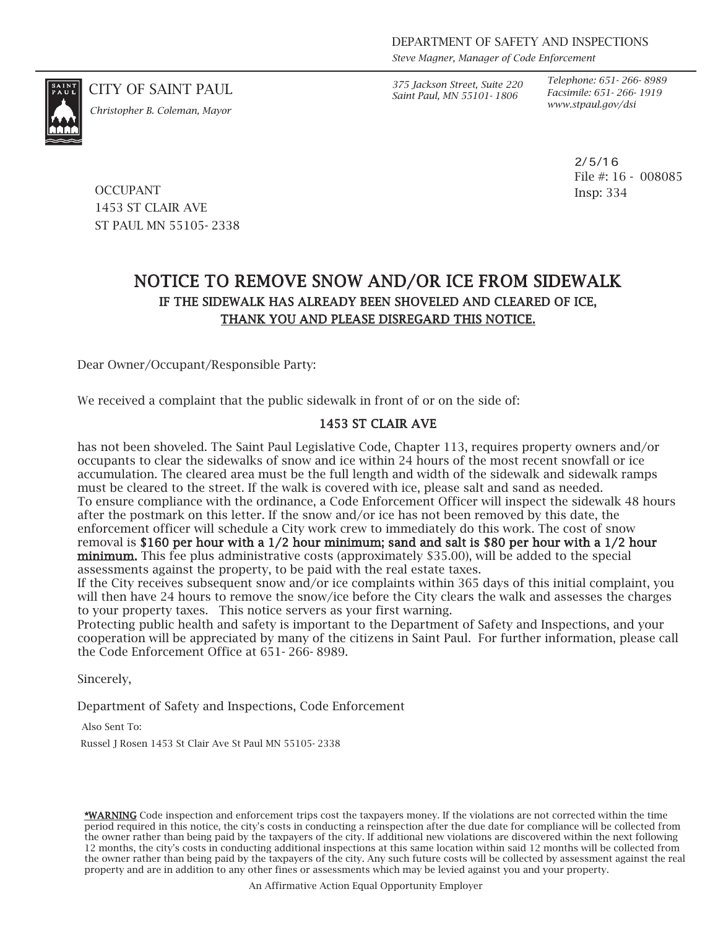*Steve Magner, Manager of Code Enforcement*

*www.stpaul.gov/dsi Christopher B. Coleman, Mayor*

CITY OF SAINT PAUL *375 Jackson Street, Suite 220 Saint Paul, MN 55101- 1806*

*Telephone: 651- 266- 8989 Facsimile: 651- 266- 1919*

> 2/5/16 File #: 16 - 008085 Insp: 334

**OCCUPANT** 1453 ST CLAIR AVE ST PAUL MN 55105- 2338

## NOTICE TO REMOVE SNOW AND/OR ICE FROM SIDEWALK IF THE SIDEWALK HAS ALREADY BEEN SHOVELED AND CLEARED OF ICE, THANK YOU AND PLEASE DISREGARD THIS NOTICE.

Dear Owner/Occupant/Responsible Party:

We received a complaint that the public sidewalk in front of or on the side of:

## 1453 ST CLAIR AVE

has not been shoveled. The Saint Paul Legislative Code, Chapter 113, requires property owners and/or occupants to clear the sidewalks of snow and ice within 24 hours of the most recent snowfall or ice accumulation. The cleared area must be the full length and width of the sidewalk and sidewalk ramps must be cleared to the street. If the walk is covered with ice, please salt and sand as needed. To ensure compliance with the ordinance, a Code Enforcement Officer will inspect the sidewalk 48 hours after the postmark on this letter. If the snow and/or ice has not been removed by this date, the enforcement officer will schedule a City work crew to immediately do this work. The cost of snow removal is \$160 per hour with a 1/2 hour minimum; sand and salt is \$80 per hour with a 1/2 hour minimum. This fee plus administrative costs (approximately \$35.00), will be added to the special assessments against the property, to be paid with the real estate taxes.

If the City receives subsequent snow and/or ice complaints within 365 days of this initial complaint, you will then have 24 hours to remove the snow/ice before the City clears the walk and assesses the charges to your property taxes. This notice servers as your first warning.

Protecting public health and safety is important to the Department of Safety and Inspections, and your cooperation will be appreciated by many of the citizens in Saint Paul. For further information, please call the Code Enforcement Office at 651- 266- 8989.

Sincerely,

Department of Safety and Inspections, Code Enforcement

Also Sent To:

Russel J Rosen 1453 St Clair Ave St Paul MN 55105- 2338

\*WARNING Code inspection and enforcement trips cost the taxpayers money. If the violations are not corrected within the time period required in this notice, the city's costs in conducting a reinspection after the due date for compliance will be collected from the owner rather than being paid by the taxpayers of the city. If additional new violations are discovered within the next following 12 months, the city's costs in conducting additional inspections at this same location within said 12 months will be collected from the owner rather than being paid by the taxpayers of the city. Any such future costs will be collected by assessment against the real property and are in addition to any other fines or assessments which may be levied against you and your property.

An Affirmative Action Equal Opportunity Employer